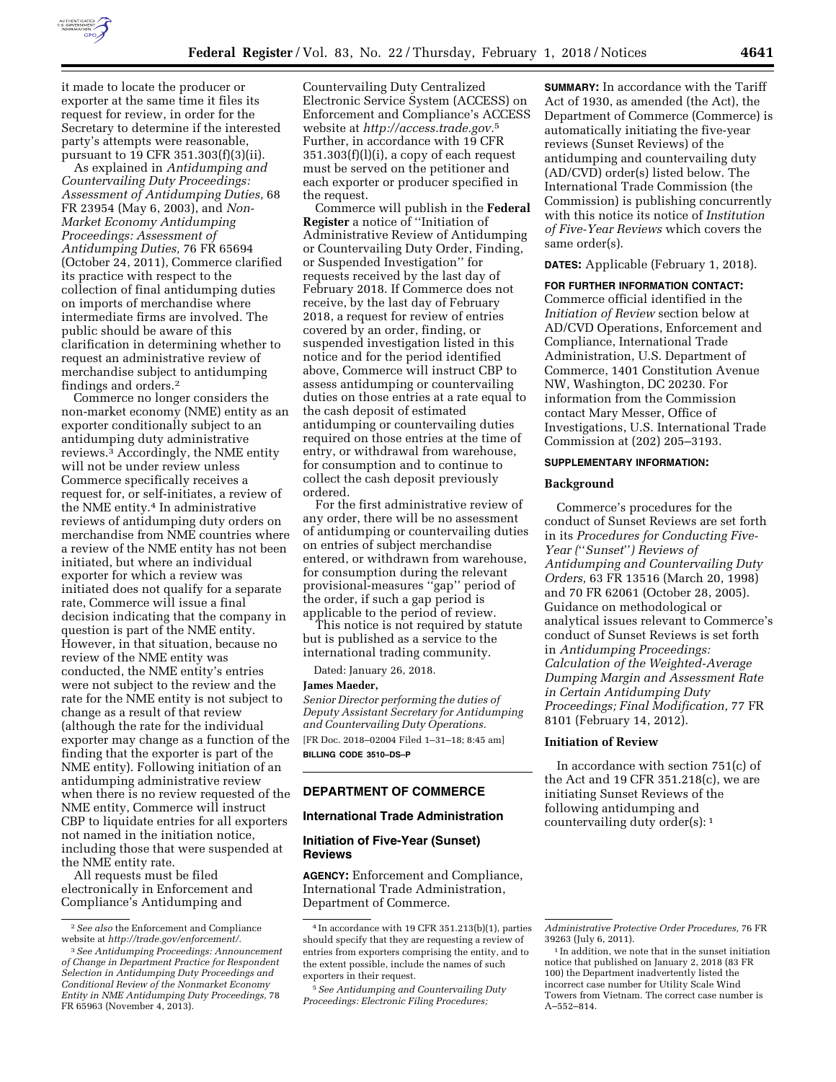

it made to locate the producer or exporter at the same time it files its request for review, in order for the Secretary to determine if the interested party's attempts were reasonable, pursuant to 19 CFR 351.303(f)(3)(ii).

As explained in *Antidumping and Countervailing Duty Proceedings: Assessment of Antidumping Duties,* 68 FR 23954 (May 6, 2003), and *Non-Market Economy Antidumping Proceedings: Assessment of Antidumping Duties,* 76 FR 65694 (October 24, 2011), Commerce clarified its practice with respect to the collection of final antidumping duties on imports of merchandise where intermediate firms are involved. The public should be aware of this clarification in determining whether to request an administrative review of merchandise subject to antidumping findings and orders.2

Commerce no longer considers the non-market economy (NME) entity as an exporter conditionally subject to an antidumping duty administrative reviews.3 Accordingly, the NME entity will not be under review unless Commerce specifically receives a request for, or self-initiates, a review of the NME entity.4 In administrative reviews of antidumping duty orders on merchandise from NME countries where a review of the NME entity has not been initiated, but where an individual exporter for which a review was initiated does not qualify for a separate rate, Commerce will issue a final decision indicating that the company in question is part of the NME entity. However, in that situation, because no review of the NME entity was conducted, the NME entity's entries were not subject to the review and the rate for the NME entity is not subject to change as a result of that review (although the rate for the individual exporter may change as a function of the finding that the exporter is part of the NME entity). Following initiation of an antidumping administrative review when there is no review requested of the NME entity, Commerce will instruct CBP to liquidate entries for all exporters not named in the initiation notice, including those that were suspended at the NME entity rate.

All requests must be filed electronically in Enforcement and Compliance's Antidumping and

Countervailing Duty Centralized Electronic Service System (ACCESS) on Enforcement and Compliance's ACCESS website at *[http://access.trade.gov.](http://access.trade.gov)*5 Further, in accordance with 19 CFR  $351.303(f)(l)(i)$ , a copy of each request must be served on the petitioner and each exporter or producer specified in the request.

Commerce will publish in the **Federal Register** a notice of ''Initiation of Administrative Review of Antidumping or Countervailing Duty Order, Finding, or Suspended Investigation'' for requests received by the last day of February 2018. If Commerce does not receive, by the last day of February 2018, a request for review of entries covered by an order, finding, or suspended investigation listed in this notice and for the period identified above, Commerce will instruct CBP to assess antidumping or countervailing duties on those entries at a rate equal to the cash deposit of estimated antidumping or countervailing duties required on those entries at the time of entry, or withdrawal from warehouse, for consumption and to continue to collect the cash deposit previously ordered.

For the first administrative review of any order, there will be no assessment of antidumping or countervailing duties on entries of subject merchandise entered, or withdrawn from warehouse, for consumption during the relevant provisional-measures ''gap'' period of the order, if such a gap period is applicable to the period of review.

This notice is not required by statute but is published as a service to the international trading community.

Dated: January 26, 2018.

## **James Maeder,**

*Senior Director performing the duties of Deputy Assistant Secretary for Antidumping and Countervailing Duty Operations.*  [FR Doc. 2018–02004 Filed 1–31–18; 8:45 am] **BILLING CODE 3510–DS–P** 

# **DEPARTMENT OF COMMERCE**

#### **International Trade Administration**

## **Initiation of Five-Year (Sunset) Reviews**

**AGENCY:** Enforcement and Compliance, International Trade Administration, Department of Commerce.

**SUMMARY:** In accordance with the Tariff Act of 1930, as amended (the Act), the Department of Commerce (Commerce) is automatically initiating the five-year reviews (Sunset Reviews) of the antidumping and countervailing duty (AD/CVD) order(s) listed below. The International Trade Commission (the Commission) is publishing concurrently with this notice its notice of *Institution of Five-Year Reviews* which covers the same order(s).

**DATES:** Applicable (February 1, 2018).

**FOR FURTHER INFORMATION CONTACT:**  Commerce official identified in the *Initiation of Review* section below at AD/CVD Operations, Enforcement and Compliance, International Trade Administration, U.S. Department of Commerce, 1401 Constitution Avenue NW, Washington, DC 20230. For information from the Commission contact Mary Messer, Office of Investigations, U.S. International Trade Commission at (202) 205–3193.

## **SUPPLEMENTARY INFORMATION:**

#### **Background**

Commerce's procedures for the conduct of Sunset Reviews are set forth in its *Procedures for Conducting Five-Year (*''*Sunset*''*) Reviews of Antidumping and Countervailing Duty Orders,* 63 FR 13516 (March 20, 1998) and 70 FR 62061 (October 28, 2005). Guidance on methodological or analytical issues relevant to Commerce's conduct of Sunset Reviews is set forth in *Antidumping Proceedings: Calculation of the Weighted-Average Dumping Margin and Assessment Rate in Certain Antidumping Duty Proceedings; Final Modification,* 77 FR 8101 (February 14, 2012).

#### **Initiation of Review**

In accordance with section 751(c) of the Act and 19 CFR 351.218(c), we are initiating Sunset Reviews of the following antidumping and countervailing duty order(s): 1

<sup>2</sup>*See also* the Enforcement and Compliance website at *[http://trade.gov/enforcement/.](http://trade.gov/enforcement/)* 

<sup>3</sup>*See Antidumping Proceedings: Announcement of Change in Department Practice for Respondent Selection in Antidumping Duty Proceedings and Conditional Review of the Nonmarket Economy Entity in NME Antidumping Duty Proceedings,* 78 FR 65963 (November 4, 2013).

<sup>4</sup> In accordance with 19 CFR 351.213(b)(1), parties should specify that they are requesting a review of entries from exporters comprising the entity, and to the extent possible, include the names of such exporters in their request.

<sup>5</sup>*See Antidumping and Countervailing Duty Proceedings: Electronic Filing Procedures;* 

*Administrative Protective Order Procedures,* 76 FR 39263 (July 6, 2011).

<sup>&</sup>lt;sup>1</sup> In addition, we note that in the sunset initiation notice that published on January 2, 2018 (83 FR 100) the Department inadvertently listed the incorrect case number for Utility Scale Wind Towers from Vietnam. The correct case number is A–552–814.